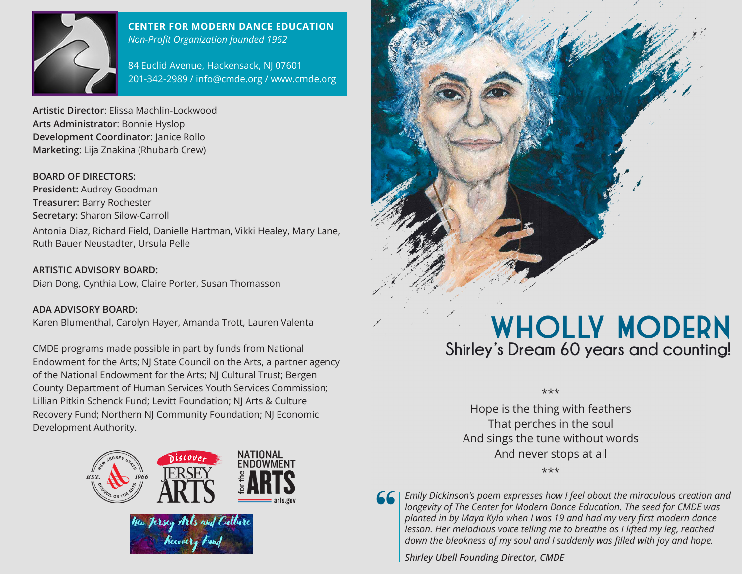

#### **CENTER FOR MODERN DANCE EDUCATION** *Non-Profit Organization founded 1962*

84 Euclid Avenue, Hackensack, NJ 07601 201-342-2989 / info@cmde.org / www.cmde.org

**Artistic Director**: Elissa Machlin-Lockwood **Arts Administrator**: Bonnie Hyslop **Development Coordinator**: Janice Rollo **Marketing**: Lija Znakina (Rhubarb Crew)

#### **BOARD OF DIRECTORS:**

**President:** Audrey Goodman **Treasurer:** Barry Rochester **Secretary:** Sharon Silow-Carroll Antonia Diaz, Richard Field, Danielle Hartman, Vikki Healey, Mary Lane, Ruth Bauer Neustadter, Ursula Pelle

**ARTISTIC ADVISORY BOARD:**  Dian Dong, Cynthia Low, Claire Porter, Susan Thomasson

**ADA ADVISORY BOARD:** Karen Blumenthal, Carolyn Hayer, Amanda Trott, Lauren Valenta

CMDE programs made possible in part by funds from National Endowment for the Arts; NJ State Council on the Arts, a partner agency of the National Endowment for the Arts; NJ Cultural Trust; Bergen County Department of Human Services Youth Services Commission; Lillian Pitkin Schenck Fund; Levitt Foundation; NJ Arts & Culture Recovery Fund; Northern NJ Community Foundation; NJ Economic Development Authority.



# WHOLLY MODERN **Shirley's Dream 60 years and counting!**

\*\*\*

Hope is the thing with feathers That perches in the soul And sings the tune without words And never stops at all

\*\*\*



*Emily Dickinson's poem expresses how I feel about the miraculous creation and longevity of The Center for Modern Dance Education. The seed for CMDE was planted in by Maya Kyla when I was 19 and had my very first modern dance lesson. Her melodious voice telling me to breathe as I lifted my leg, reached down the bleakness of my soul and I suddenly was filled with joy and hope.* 

*Shirley Ubell Founding Director, CMDE*